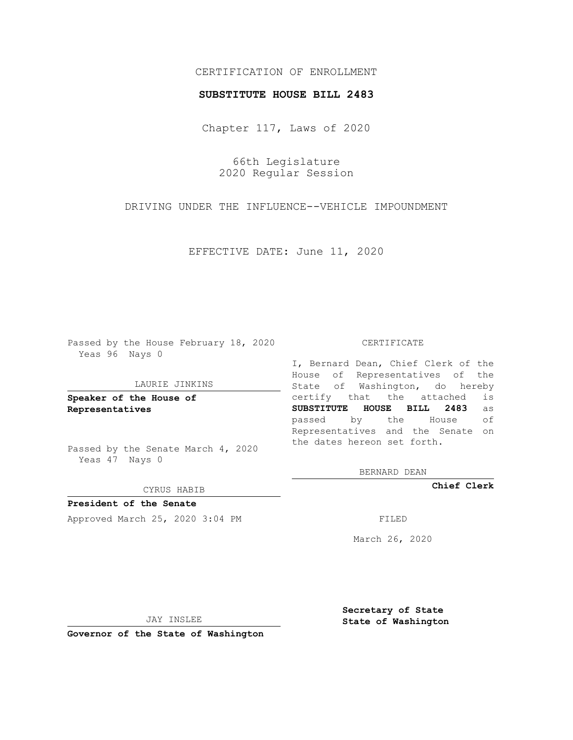# CERTIFICATION OF ENROLLMENT

### **SUBSTITUTE HOUSE BILL 2483**

Chapter 117, Laws of 2020

66th Legislature 2020 Regular Session

DRIVING UNDER THE INFLUENCE--VEHICLE IMPOUNDMENT

EFFECTIVE DATE: June 11, 2020

Passed by the House February 18, 2020 Yeas 96 Nays 0

### LAURIE JINKINS

**Speaker of the House of Representatives**

Passed by the Senate March 4, 2020 Yeas 47 Nays 0

#### CYRUS HABIB

**President of the Senate** Approved March 25, 2020 3:04 PM

#### CERTIFICATE

I, Bernard Dean, Chief Clerk of the House of Representatives of the State of Washington, do hereby certify that the attached is **SUBSTITUTE HOUSE BILL 2483** as passed by the House of Representatives and the Senate on the dates hereon set forth.

BERNARD DEAN

**Chief Clerk**

March 26, 2020

JAY INSLEE

**Governor of the State of Washington**

**Secretary of State State of Washington**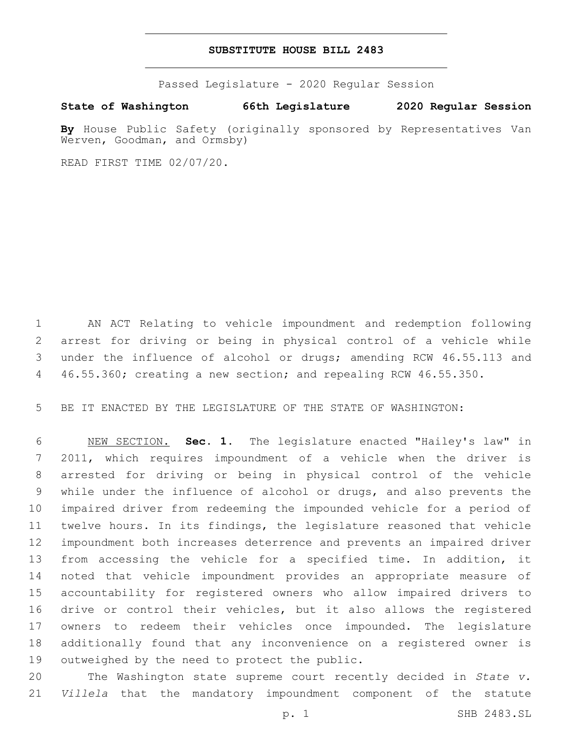## **SUBSTITUTE HOUSE BILL 2483**

Passed Legislature - 2020 Regular Session

**State of Washington 66th Legislature 2020 Regular Session**

By House Public Safety (originally sponsored by Representatives Van Werven, Goodman, and Ormsby)

READ FIRST TIME 02/07/20.

 AN ACT Relating to vehicle impoundment and redemption following arrest for driving or being in physical control of a vehicle while under the influence of alcohol or drugs; amending RCW 46.55.113 and 46.55.360; creating a new section; and repealing RCW 46.55.350.

BE IT ENACTED BY THE LEGISLATURE OF THE STATE OF WASHINGTON:

 NEW SECTION. **Sec. 1.** The legislature enacted "Hailey's law" in 2011, which requires impoundment of a vehicle when the driver is arrested for driving or being in physical control of the vehicle while under the influence of alcohol or drugs, and also prevents the impaired driver from redeeming the impounded vehicle for a period of twelve hours. In its findings, the legislature reasoned that vehicle impoundment both increases deterrence and prevents an impaired driver from accessing the vehicle for a specified time. In addition, it noted that vehicle impoundment provides an appropriate measure of accountability for registered owners who allow impaired drivers to drive or control their vehicles, but it also allows the registered owners to redeem their vehicles once impounded. The legislature additionally found that any inconvenience on a registered owner is outweighed by the need to protect the public.

 The Washington state supreme court recently decided in *State v. Villela* that the mandatory impoundment component of the statute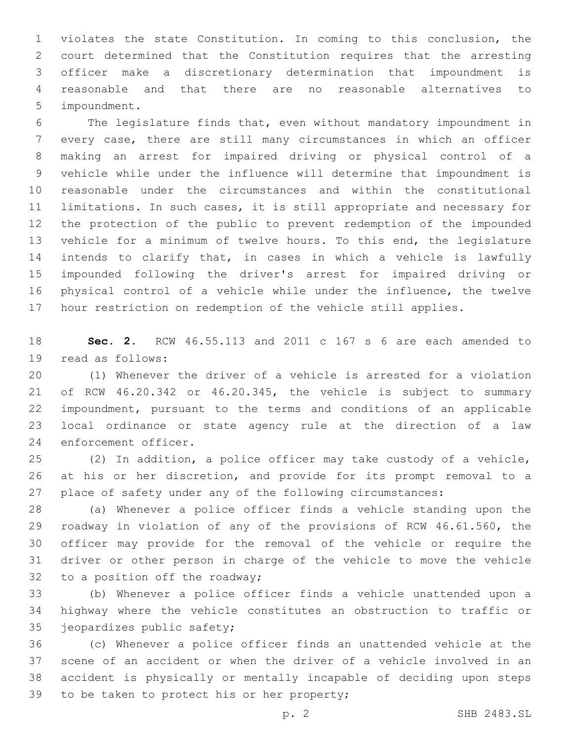violates the state Constitution. In coming to this conclusion, the court determined that the Constitution requires that the arresting officer make a discretionary determination that impoundment is reasonable and that there are no reasonable alternatives to 5 impoundment.

 The legislature finds that, even without mandatory impoundment in every case, there are still many circumstances in which an officer making an arrest for impaired driving or physical control of a vehicle while under the influence will determine that impoundment is reasonable under the circumstances and within the constitutional limitations. In such cases, it is still appropriate and necessary for the protection of the public to prevent redemption of the impounded vehicle for a minimum of twelve hours. To this end, the legislature intends to clarify that, in cases in which a vehicle is lawfully impounded following the driver's arrest for impaired driving or physical control of a vehicle while under the influence, the twelve hour restriction on redemption of the vehicle still applies.

 **Sec. 2.** RCW 46.55.113 and 2011 c 167 s 6 are each amended to 19 read as follows:

 (1) Whenever the driver of a vehicle is arrested for a violation of RCW 46.20.342 or 46.20.345, the vehicle is subject to summary impoundment, pursuant to the terms and conditions of an applicable local ordinance or state agency rule at the direction of a law 24 enforcement officer.

 (2) In addition, a police officer may take custody of a vehicle, at his or her discretion, and provide for its prompt removal to a place of safety under any of the following circumstances:

 (a) Whenever a police officer finds a vehicle standing upon the roadway in violation of any of the provisions of RCW 46.61.560, the officer may provide for the removal of the vehicle or require the driver or other person in charge of the vehicle to move the vehicle 32 to a position off the roadway;

 (b) Whenever a police officer finds a vehicle unattended upon a highway where the vehicle constitutes an obstruction to traffic or 35 jeopardizes public safety;

 (c) Whenever a police officer finds an unattended vehicle at the scene of an accident or when the driver of a vehicle involved in an accident is physically or mentally incapable of deciding upon steps 39 to be taken to protect his or her property;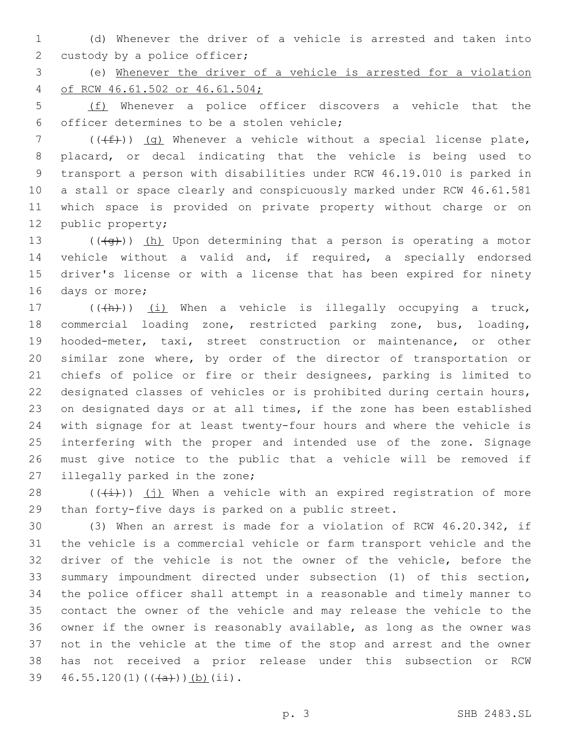(d) Whenever the driver of a vehicle is arrested and taken into 2 custody by a police officer;

 (e) Whenever the driver of a vehicle is arrested for a violation of RCW 46.61.502 or 46.61.504;

 (f) Whenever a police officer discovers a vehicle that the officer determines to be a stolen vehicle;6

7 ( $((f+))$  (g) Whenever a vehicle without a special license plate, placard, or decal indicating that the vehicle is being used to transport a person with disabilities under RCW 46.19.010 is parked in a stall or space clearly and conspicuously marked under RCW 46.61.581 which space is provided on private property without charge or on 12 public property;

 $((\overline{q}))(h)$  Upon determining that a person is operating a motor vehicle without a valid and, if required, a specially endorsed driver's license or with a license that has been expired for ninety 16 days or more;

17 (((h)) (i) When a vehicle is illegally occupying a truck, commercial loading zone, restricted parking zone, bus, loading, hooded-meter, taxi, street construction or maintenance, or other similar zone where, by order of the director of transportation or chiefs of police or fire or their designees, parking is limited to designated classes of vehicles or is prohibited during certain hours, on designated days or at all times, if the zone has been established with signage for at least twenty-four hours and where the vehicle is interfering with the proper and intended use of the zone. Signage must give notice to the public that a vehicle will be removed if 27 illegally parked in the zone;

 $((+i+))$  (j) When a vehicle with an expired registration of more than forty-five days is parked on a public street.

 (3) When an arrest is made for a violation of RCW 46.20.342, if the vehicle is a commercial vehicle or farm transport vehicle and the driver of the vehicle is not the owner of the vehicle, before the summary impoundment directed under subsection (1) of this section, the police officer shall attempt in a reasonable and timely manner to contact the owner of the vehicle and may release the vehicle to the owner if the owner is reasonably available, as long as the owner was not in the vehicle at the time of the stop and arrest and the owner has not received a prior release under this subsection or RCW  $46.55.120(1)$   $((+a))$   $(b)$   $(ii)$ .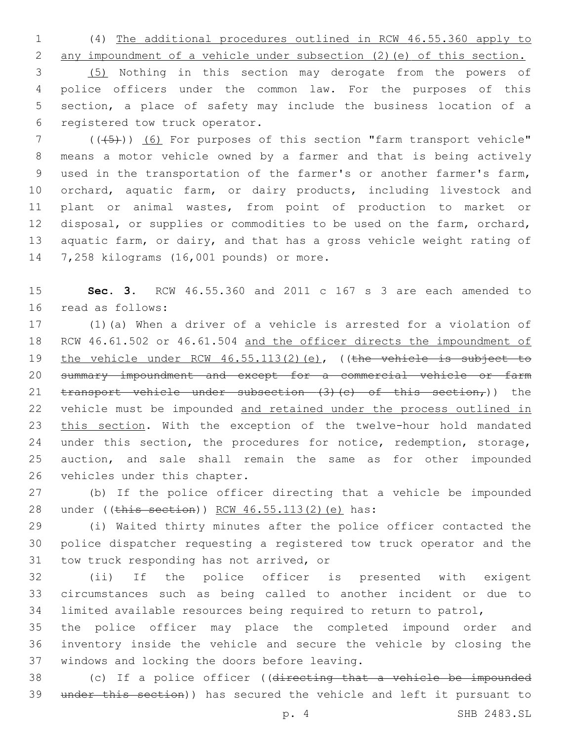1 (4) The additional procedures outlined in RCW 46.55.360 apply to

 any impoundment of a vehicle under subsection (2)(e) of this section. (5) Nothing in this section may derogate from the powers of police officers under the common law. For the purposes of this section, a place of safety may include the business location of a 6 registered tow truck operator.

7 (((+5)) (6) For purposes of this section "farm transport vehicle" 8 means a motor vehicle owned by a farmer and that is being actively 9 used in the transportation of the farmer's or another farmer's farm, 10 orchard, aquatic farm, or dairy products, including livestock and 11 plant or animal wastes, from point of production to market or 12 disposal, or supplies or commodities to be used on the farm, orchard, 13 aquatic farm, or dairy, and that has a gross vehicle weight rating of 14 7,258 kilograms (16,001 pounds) or more.

15 **Sec. 3.** RCW 46.55.360 and 2011 c 167 s 3 are each amended to 16 read as follows:

17 (1)(a) When a driver of a vehicle is arrested for a violation of 18 RCW 46.61.502 or 46.61.504 and the officer directs the impoundment of 19 the vehicle under RCW 46.55.113(2)(e), ((the vehicle is subject to 20 summary impoundment and except for a commercial vehicle or farm 21  $transport$  vehicle under subsection (3)(c) of this section,)) the 22 vehicle must be impounded and retained under the process outlined in 23 this section. With the exception of the twelve-hour hold mandated 24 under this section, the procedures for notice, redemption, storage, 25 auction, and sale shall remain the same as for other impounded 26 vehicles under this chapter.

27 (b) If the police officer directing that a vehicle be impounded 28 under ((this section)) RCW 46.55.113(2)(e) has:

29 (i) Waited thirty minutes after the police officer contacted the 30 police dispatcher requesting a registered tow truck operator and the 31 tow truck responding has not arrived, or

32 (ii) If the police officer is presented with exigent 33 circumstances such as being called to another incident or due to 34 limited available resources being required to return to patrol,

35 the police officer may place the completed impound order and 36 inventory inside the vehicle and secure the vehicle by closing the 37 windows and locking the doors before leaving.

38 (c) If a police officer ((directing that a vehicle be impounded 39 under this section)) has secured the vehicle and left it pursuant to

p. 4 SHB 2483.SL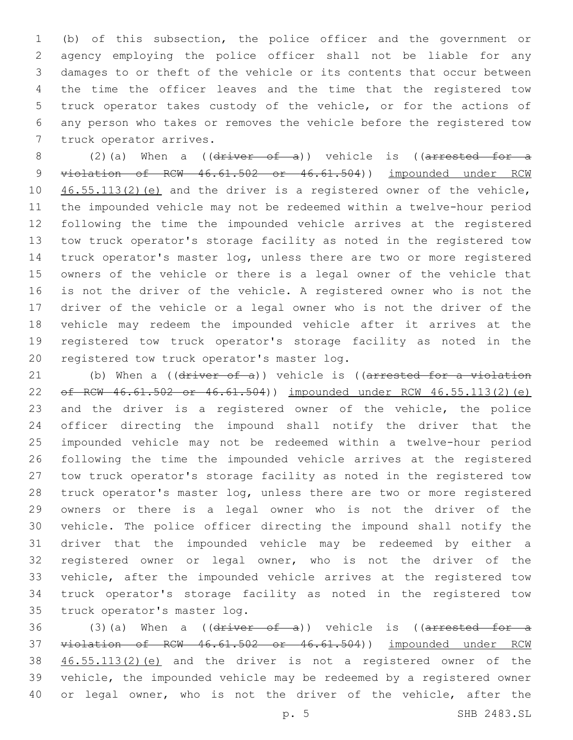(b) of this subsection, the police officer and the government or agency employing the police officer shall not be liable for any damages to or theft of the vehicle or its contents that occur between the time the officer leaves and the time that the registered tow truck operator takes custody of the vehicle, or for the actions of any person who takes or removes the vehicle before the registered tow 7 truck operator arrives.

8 (2)(a) When a (( $\frac{d \text{river} - \text{of} - \text{a}}{d}$ ) vehicle is (( $\frac{a \text{rrested} - \text{for} - \text{a}}{d}$ 9 violation of RCW 46.61.502 or 46.61.504)) impounded under RCW 10 46.55.113(2)(e) and the driver is a registered owner of the vehicle, the impounded vehicle may not be redeemed within a twelve-hour period following the time the impounded vehicle arrives at the registered tow truck operator's storage facility as noted in the registered tow truck operator's master log, unless there are two or more registered owners of the vehicle or there is a legal owner of the vehicle that is not the driver of the vehicle. A registered owner who is not the driver of the vehicle or a legal owner who is not the driver of the vehicle may redeem the impounded vehicle after it arrives at the registered tow truck operator's storage facility as noted in the 20 registered tow truck operator's master log.

21 (b) When a ((driver of a)) vehicle is ((arrested for a violation of RCW 46.61.502 or 46.61.504)) impounded under RCW 46.55.113(2)(e) and the driver is a registered owner of the vehicle, the police officer directing the impound shall notify the driver that the impounded vehicle may not be redeemed within a twelve-hour period following the time the impounded vehicle arrives at the registered tow truck operator's storage facility as noted in the registered tow truck operator's master log, unless there are two or more registered owners or there is a legal owner who is not the driver of the vehicle. The police officer directing the impound shall notify the driver that the impounded vehicle may be redeemed by either a registered owner or legal owner, who is not the driver of the vehicle, after the impounded vehicle arrives at the registered tow truck operator's storage facility as noted in the registered tow 35 truck operator's master log.

36 (3)(a) When a ( $(\text{driver of } a)$ ) vehicle is ( $(\text{arrested for } a$  violation of RCW 46.61.502 or 46.61.504)) impounded under RCW 46.55.113(2)(e) and the driver is not a registered owner of the vehicle, the impounded vehicle may be redeemed by a registered owner or legal owner, who is not the driver of the vehicle, after the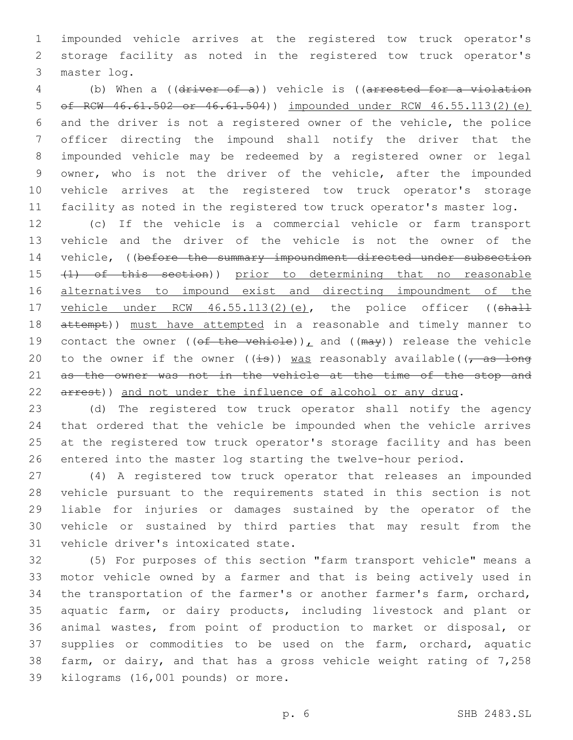impounded vehicle arrives at the registered tow truck operator's storage facility as noted in the registered tow truck operator's 3 master log.

 (b) When a ((driver of a)) vehicle is ((arrested for a violation of RCW 46.61.502 or 46.61.504)) impounded under RCW 46.55.113(2)(e) and the driver is not a registered owner of the vehicle, the police officer directing the impound shall notify the driver that the impounded vehicle may be redeemed by a registered owner or legal owner, who is not the driver of the vehicle, after the impounded vehicle arrives at the registered tow truck operator's storage facility as noted in the registered tow truck operator's master log.

 (c) If the vehicle is a commercial vehicle or farm transport vehicle and the driver of the vehicle is not the owner of the 14 vehicle, ((before the summary impoundment directed under subsection 15 (1) of this section)) prior to determining that no reasonable 16 alternatives to impound exist and directing impoundment of the 17 vehicle under RCW 46.55.113(2)(e), the police officer ((shall 18 attempt)) must have attempted in a reasonable and timely manner to 19 contact the owner (( $\theta f$  the vehicle)), and ( $(\text{max})$ ) release the vehicle 20 to the owner if the owner ( $(\pm s)$ ) was reasonably available( $\sqrt{a s}$  long 21 as the owner was not in the vehicle at the time of the stop and 22 arrest)) and not under the influence of alcohol or any drug.

 (d) The registered tow truck operator shall notify the agency that ordered that the vehicle be impounded when the vehicle arrives at the registered tow truck operator's storage facility and has been entered into the master log starting the twelve-hour period.

 (4) A registered tow truck operator that releases an impounded vehicle pursuant to the requirements stated in this section is not liable for injuries or damages sustained by the operator of the vehicle or sustained by third parties that may result from the 31 vehicle driver's intoxicated state.

 (5) For purposes of this section "farm transport vehicle" means a motor vehicle owned by a farmer and that is being actively used in the transportation of the farmer's or another farmer's farm, orchard, aquatic farm, or dairy products, including livestock and plant or animal wastes, from point of production to market or disposal, or supplies or commodities to be used on the farm, orchard, aquatic farm, or dairy, and that has a gross vehicle weight rating of 7,258 39 kilograms (16,001 pounds) or more.